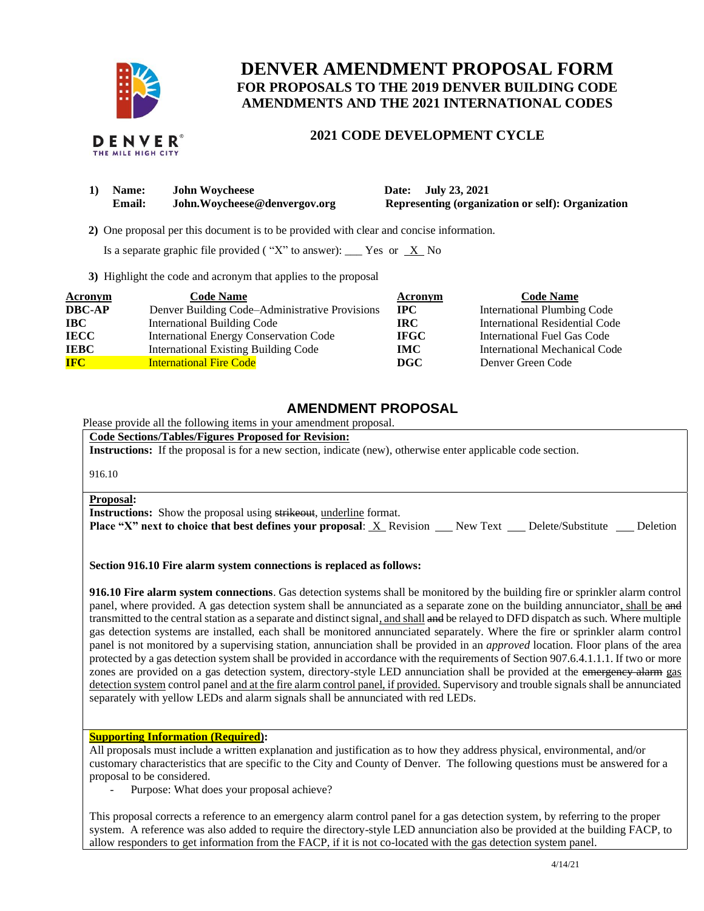

# **DENVER AMENDMENT PROPOSAL FORM FOR PROPOSALS TO THE 2019 DENVER BUILDING CODE AMENDMENTS AND THE 2021 INTERNATIONAL CODES**

#### DENVER THE MILE HIGH CITY

# **2021 CODE DEVELOPMENT CYCLE**

| 1) | <b>Name:</b>  | <b>John Woycheese</b>         |  |  |
|----|---------------|-------------------------------|--|--|
|    | <b>Email:</b> | John. Woycheese@denvergov.org |  |  |

**1) Date: July 23, 2021 Representing (organization or self): Organization** 

 **2)** One proposal per this document is to be provided with clear and concise information.

Is a separate graphic file provided ("X" to answer): \_\_\_ Yes or  $X$  No

**3)** Highlight the code and acronym that applies to the proposal

| <b>Acronym</b> | <b>Code Name</b>                               | Acronym      | <b>Code Name</b>                   |
|----------------|------------------------------------------------|--------------|------------------------------------|
| <b>DBC-AP</b>  | Denver Building Code-Administrative Provisions | $_{\rm IPC}$ | <b>International Plumbing Code</b> |
| $\bf IBC$      | <b>International Building Code</b>             | IRC.         | International Residential Code     |
| <b>IECC</b>    | International Energy Conservation Code         | <b>IFGC</b>  | International Fuel Gas Code        |
| <b>IEBC</b>    | <b>International Existing Building Code</b>    | <b>IMC</b>   | International Mechanical Code      |
| <b>IFC</b>     | <b>International Fire Code</b>                 | DGC          | Denver Green Code                  |

# **AMENDMENT PROPOSAL**

Please provide all the following items in your amendment proposal.

**Code Sections/Tables/Figures Proposed for Revision:**

**Instructions:** If the proposal is for a new section, indicate (new), otherwise enter applicable code section.

916.10

### **Proposal:**

**Instructions:** Show the proposal using strikeout, underline format.

**Place "X" next to choice that best defines your proposal: X Revision New Text Delete/Substitute Deletion** 

**Section 916.10 Fire alarm system connections is replaced as follows:**

**916.10 Fire alarm system connections**. Gas detection systems shall be monitored by the building fire or sprinkler alarm control panel, where provided. A gas detection system shall be annunciated as a separate zone on the building annunciator, shall be and transmitted to the central station as a separate and distinct signal, and shall and be relayed to DFD dispatch as such. Where multiple gas detection systems are installed, each shall be monitored annunciated separately. Where the fire or sprinkler alarm control panel is not monitored by a supervising station, annunciation shall be provided in an *approved* location. Floor plans of the area protected by a gas detection system shall be provided in accordance with the requirements of Section 907.6.4.1.1.1. If two or more zones are provided on a gas detection system, directory-style LED annunciation shall be provided at the emergency alarm gas detection system control panel and at the fire alarm control panel, if provided. Supervisory and trouble signals shall be annunciated separately with yellow LEDs and alarm signals shall be annunciated with red LEDs.

### **Supporting Information (Required):**

All proposals must include a written explanation and justification as to how they address physical, environmental, and/or customary characteristics that are specific to the City and County of Denver. The following questions must be answered for a proposal to be considered.

Purpose: What does your proposal achieve?

This proposal corrects a reference to an emergency alarm control panel for a gas detection system, by referring to the proper system. A reference was also added to require the directory-style LED annunciation also be provided at the building FACP, to allow responders to get information from the FACP, if it is not co-located with the gas detection system panel.